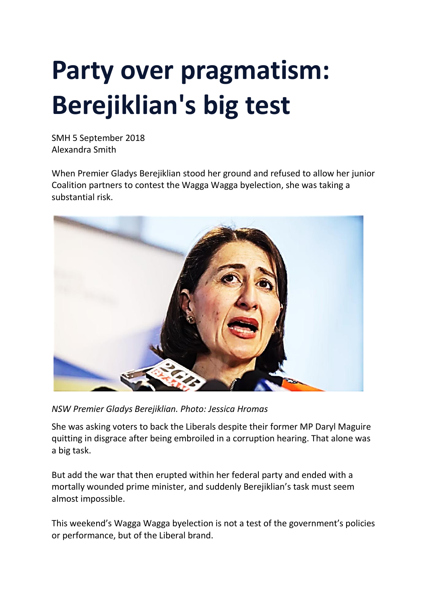## **Party over pragmatism: Berejiklian's big test**

SMH 5 September 2018 Alexandra Smith

When Premier Gladys Berejiklian stood her ground and refused to allow her junior Coalition partners to contest the Wagga Wagga byelection, she was taking a substantial risk.



*NSW Premier Gladys Berejiklian. Photo: Jessica Hromas*

She was asking voters to back the Liberals despite their former MP Daryl Maguire quitting in disgrace after being embroiled in a corruption hearing. That alone was a big task.

But add the war that then erupted within her federal party and ended with a mortally wounded prime minister, and suddenly Berejiklian's task must seem almost impossible.

This weekend's Wagga Wagga byelection is not a test of the government's policies or performance, but of the Liberal brand.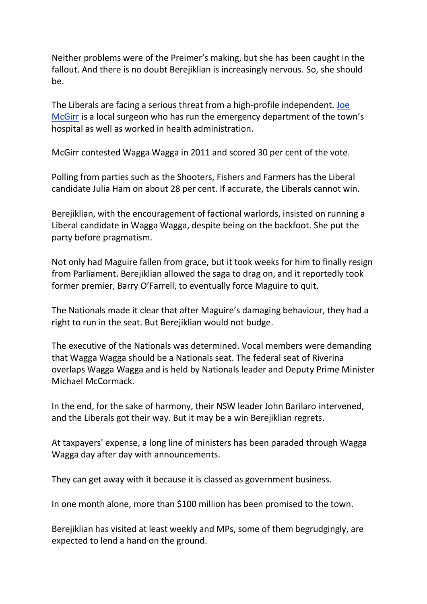Neither problems were of the Preimer's making, but she has been caught in the fallout. And there is no doubt Berejiklian is increasingly nervous. So, she should be.

The Liberals are facing a serious threat from a high-profile independent. [Joe](https://www.smh.com.au/politics/nsw/high-profile-independent-has-liberals-nervous-in-wagga-wagga-byelection-20180820-p4zymi.html) [McGirr](https://www.smh.com.au/politics/nsw/high-profile-independent-has-liberals-nervous-in-wagga-wagga-byelection-20180820-p4zymi.html) is a local surgeon who has run the emergency department of the town's hospital as well as worked in health administration.

McGirr contested Wagga Wagga in 2011 and scored 30 per cent of the vote.

Polling from parties such as the Shooters, Fishers and Farmers has the Liberal candidate Julia Ham on about 28 per cent. If accurate, the Liberals cannot win.

Berejiklian, with the encouragement of factional warlords, insisted on running a Liberal candidate in Wagga Wagga, despite being on the backfoot. She put the party before pragmatism.

Not only had Maguire fallen from grace, but it took weeks for him to finally resign from Parliament. Berejiklian allowed the saga to drag on, and it reportedly took former premier, Barry O'Farrell, to eventually force Maguire to quit.

The Nationals made it clear that after Maguire's damaging behaviour, they had a right to run in the seat. But Berejiklian would not budge.

The executive of the Nationals was determined. Vocal members were demanding that Wagga Wagga should be a Nationals seat. The federal seat of Riverina overlaps Wagga Wagga and is held by Nationals leader and Deputy Prime Minister Michael McCormack.

In the end, for the sake of harmony, their NSW leader John Barilaro intervened, and the Liberals got their way. But it may be a win Berejiklian regrets.

At taxpayers' expense, a long line of ministers has been paraded through Wagga Wagga day after day with announcements.

They can get away with it because it is classed as government business.

In one month alone, more than \$100 million has been promised to the town.

Berejiklian has visited at least weekly and MPs, some of them begrudgingly, are expected to lend a hand on the ground.